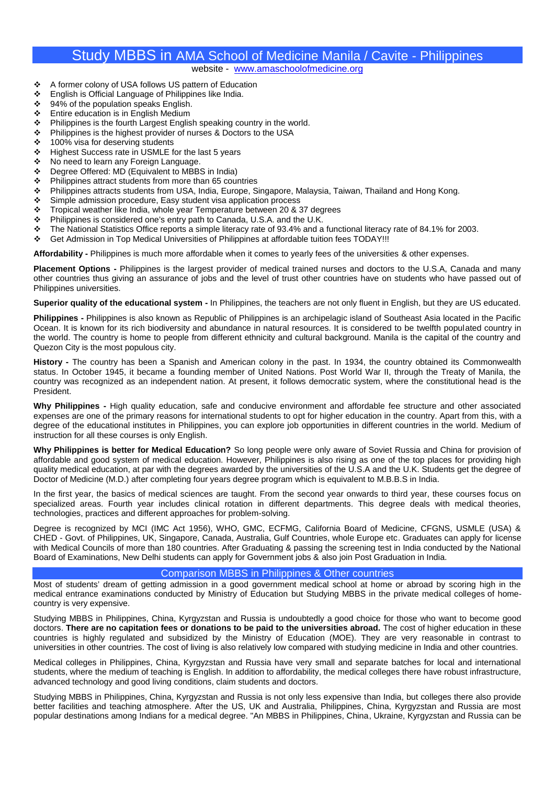## Study MBBS in AMA School of Medicine Manila / Cavite - Philippines website - www.amaschoolofmedicine.org

- A former colony of USA follows US pattern of Education
- English is Official Language of Philippines like India.
- ❖ 94% of the population speaks English.
- ❖ Entire education is in English Medium
- $\cdot \cdot$  Philippines is the fourth Largest English speaking country in the world.
- Philippines is the highest provider of nurses & Doctors to the USA<br>• 100% visa for deserving students
- ❖ 100% visa for deserving students<br>❖ Highest Success rate in USMLE f
- Highest Success rate in USMLE for the last 5 years
- ❖ No need to learn any Foreign Language.<br>↔ Degree Offered: MD (Equivalent to MBB
- ❖ Degree Offered: MD (Equivalent to MBBS in India)<br>❖ Philippines attract students from more than 65 cour
- ❖ Philippines attract students from more than 65 countries<br>❖ Philippines attracts students from USA India Furope S
- ❖ Philippines attracts students from USA, India, Europe, Singapore, Malaysia, Taiwan, Thailand and Hong Kong.<br>❖ Simple admission procedure, Easy student visa application process
- Simple admission procedure, Easy student visa application process
- \* Tropical weather like India, whole year Temperature between 20 & 37 degrees
- \* Philippines is considered one's entry path to Canada, U.S.A. and the U.K.
- The National Statistics Office reports a simple literacy rate of 93.4% and a functional literacy rate of 84.1% for 2003.<br>
Get Admission in Top Medical Universities of Philippines at affordable tuition fees TODAY III
- Get Admission in Top Medical Universities of Philippines at affordable tuition fees TODAY!!!

**Affordability -** Philippines is much more affordable when it comes to yearly fees of the universities & other expenses.

**Placement Options -** Philippines is the largest provider of medical trained nurses and doctors to the U.S.A, Canada and many other countries thus giving an assurance of jobs and the level of trust other countries have on students who have passed out of Philippines universities.

#### **Superior quality of the educational system -** In Philippines, the teachers are not only fluent in English, but they are US educated.

**Philippines -** Philippines is also known as Republic of Philippines is an archipelagic island of Southeast Asia located in the Pacific Ocean. It is known for its rich biodiversity and abundance in natural resources. It is considered to be twelfth populated country in the world. The country is home to people from different ethnicity and cultural background. Manila is the capital of the country and Quezon City is the most populous city.

**History -** The country has been a Spanish and American colony in the past. In 1934, the country obtained its Commonwealth status. In October 1945, it became a founding member of United Nations. Post World War II, through the Treaty of Manila, the country was recognized as an independent nation. At present, it follows democratic system, where the constitutional head is the President.

**Why Philippines -** High quality education, safe and conducive environment and affordable fee structure and other associated expenses are one of the primary reasons for international students to opt for higher education in the country. Apart from this, with a degree of the educational institutes in Philippines, you can explore job opportunities in different countries in the world. Medium of instruction for all these courses is only English.

**Why Philippines is better for Medical Education?** So long people were only aware of Soviet Russia and China for provision of affordable and good system of medical education. However, Philippines is also rising as one of the top places for providing high quality medical education, at par with the degrees awarded by the universities of the U.S.A and the U.K. Students get the degree of Doctor of Medicine (M.D.) after completing four years degree program which is equivalent to M.B.B.S in India.

In the first year, the basics of medical sciences are taught. From the second year onwards to third year, these courses focus on specialized areas. Fourth year includes clinical rotation in different departments. This degree deals with medical theories, technologies, practices and different approaches for problem-solving.

Degree is recognized by MCI (IMC Act 1956), WHO, GMC, ECFMG, California Board of Medicine, CFGNS, USMLE (USA) & CHED - Govt. of Philippines, UK, Singapore, Canada, Australia, Gulf Countries, whole Europe etc. Graduates can apply for license with Medical Councils of more than 180 countries. After Graduating & passing the screening test in India conducted by the National Board of Examinations, New Delhi students can apply for Government jobs & also join Post Graduation in India.

#### Comparison MBBS in Philippines & Other countries

Most of students' dream of getting admission in a good government medical school at home or abroad by scoring high in the medical entrance examinations conducted by Ministry of Education but Studying MBBS in the private medical colleges of home country is very expensive.

Studying MBBS in Philippines, China, Kyrgyzstan and Russia is undoubtedly a good choice for those who want to become good doctors. **There are no capitation fees or donations to be paid to the universities abroad.** The cost of higher education in these countries is highly regulated and subsidized by the Ministry of Education (MOE). They are very reasonable in contrast to universities in other countries. The cost of living is also relatively low compared with studying medicine in India and other countries.

Medical colleges in Philippines, China, Kyrgyzstan and Russia have very small and separate batches for local and international students, where the medium of teaching is English. In addition to affordability, the medical colleges there have robust infrastructure, advanced technology and good living conditions, claim students and doctors.

Studying MBBS in Philippines, China, Kyrgyzstan and Russia is not only less expensive than India, but colleges there also provide better facilities and teaching atmosphere. After the US, UK and Australia, Philippines, China, Kyrgyzstan and Russia are most popular destinations among Indians for a medical degree. "An MBBS in Philippines, China, Ukraine, Kyrgyzstan and Russia can be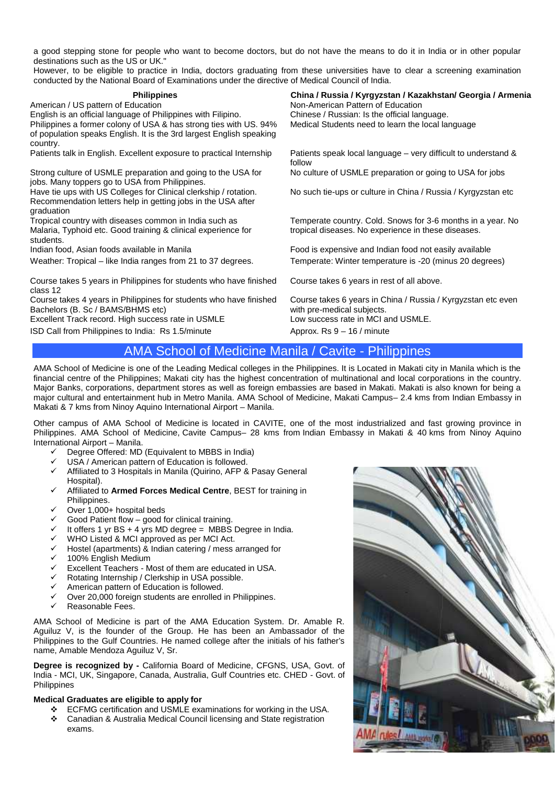a good stepping stone for people who want to become doctors, but do not have the means to do it in India or in other popular destinations such as the US or UK."

However, to be eligible to practice in India, doctors graduating from these universities have to clear a screening examination conducted by the National Board of Examinations under the directive of Medical Council of India.

| <b>Philippines</b>                                                                                             | China / Russia / Kyrgyzstan / Kazakhstan/ Georgia / Armenia                                |
|----------------------------------------------------------------------------------------------------------------|--------------------------------------------------------------------------------------------|
| American / US pattern of Education                                                                             | Non-American Pattern of Education                                                          |
| English is an official language of Philippines with Filipino.                                                  | Chinese / Russian: Is the official language.                                               |
| Philippines a former colony of USA & has strong ties with US. 94%                                              | Medical Students need to learn the local language                                          |
| of population speaks English. It is the 3rd largest English speaking<br>country.                               |                                                                                            |
| Patients talk in English. Excellent exposure to practical Internship                                           | Patients speak local language – very difficult to understand &<br>follow                   |
| Strong culture of USMLE preparation and going to the USA for<br>jobs. Many toppers go to USA from Philippines. | No culture of USMLE preparation or going to USA for jobs                                   |
| Have tie ups with US Colleges for Clinical clerkship / rotation.                                               | No such tie-ups or culture in China / Russia / Kyrgyzstan etc                              |
| Recommendation letters help in getting jobs in the USA after                                                   |                                                                                            |
| graduation                                                                                                     |                                                                                            |
| Tropical country with diseases common in India such as                                                         | Temperate country. Cold. Snows for 3-6 months in a year. No                                |
| Malaria, Typhoid etc. Good training & clinical experience for<br>students.                                     | tropical diseases. No experience in these diseases.                                        |
| Indian food, Asian foods available in Manila                                                                   | Food is expensive and Indian food not easily available                                     |
| Weather: Tropical – like India ranges from 21 to 37 degrees.                                                   | Temperate: Winter temperature is -20 (minus 20 degrees)                                    |
| Course takes 5 years in Philippines for students who have finished<br>class 12                                 | Course takes 6 years in rest of all above.                                                 |
| Course takes 4 years in Philippines for students who have finished<br>Bachelors (B. Sc / BAMS/BHMS etc)        | Course takes 6 years in China / Russia / Kyrgyzstan etc even<br>with pre-medical subjects. |
| Excellent Track record. High success rate in USMLE                                                             | Low success rate in MCI and USMLE.                                                         |
| ISD Call from Philippines to India: Rs 1.5/minute                                                              | Approx. $Rs 9 - 16$ / minute                                                               |
|                                                                                                                |                                                                                            |

## AMA School of Medicine Manila / Cavite - Philippines

AMA School of Medicine is one of the Leading Medical colleges in the Philippines. It is Located in Makati city in Manila which is the financial centre of the Philippines; Makati city has the highest concentration of multinational and local corporations in the country. Major Banks, corporations, department stores as well as foreign embassies are based in Makati. Makati is also known for being a major cultural and entertainment hub in Metro Manila. AMA School of Medicine, Makati Campus– 2.4 kms from Indian Embassy in Makati & 7 kms from Ninoy Aquino International Airport – Manila.

Other campus of AMA School of Medicine is located in CAVITE, one of the most industrialized and fast growing province in Philippines. AMA School of Medicine, Cavite Campus– 28 kms from Indian Embassy in Makati & 40 kms from Ninoy Aquino International Airport – Manila.

- $\checkmark$  Degree Offered: MD (Equivalent to MBBS in India)<br> $\checkmark$  USA / American pattern of Education is followed
- USA / American pattern of Education is followed.
- $\checkmark$  Affiliated to 3 Hospitals in Manila (Quirino, AFP & Pasay General Hospital).
- Affiliated to **Armed Forces Medical Centre**, BEST for training in Philippines.
- Over 1,000+ hospital beds
- Good Patient flow good for clinical training.
- $\checkmark$  It offers 1 yr BS + 4 yrs MD degree = MBBS Degree in India.
- $\checkmark$  WHO Listed & MCI approved as per MCI Act.<br> $\checkmark$  Hostel (apartments) & Indian catering (mess)
- ✓ Hostel (apartments) & Indian catering / mess arranged for<br>✓ 100% English Medium
- $\checkmark$  100% English Medium<br> $\checkmark$  Excellent Teachers M
- $\checkmark$  Excellent Teachers Most of them are educated in USA.<br> $\checkmark$  Rotating Internshin / Clerkshin in USA possible
- $\checkmark$  Rotating Internship / Clerkship in USA possible.<br> $\checkmark$  American pattern of Education is followed
- $\checkmark$  American pattern of Education is followed.<br> $\checkmark$  Over 20,000 foreign students are enrolled
- $\checkmark$  Over 20,000 foreign students are enrolled in Philippines.<br>
Seasonable Fees
- Reasonable Fees.

AMA School of Medicine is part of the AMA Education System. Dr. Amable R. Aguiluz V, is the founder of the Group. He has been an Ambassador of the Philippines to the Gulf Countries. He named college after the initials of his father's name, Amable Mendoza Aguiluz V, Sr.

**Degree is recognized by -** California Board of Medicine, CFGNS, USA, Govt. of India - MCI, UK, Singapore, Canada, Australia, Gulf Countries etc. CHED - Govt. of **Philippines** 

## **Medical Graduates are eligible to apply for**

- ECFMG certification and USMLE examinations for working in the USA.
- Canadian & Australia Medical Council licensing and State registration exams.